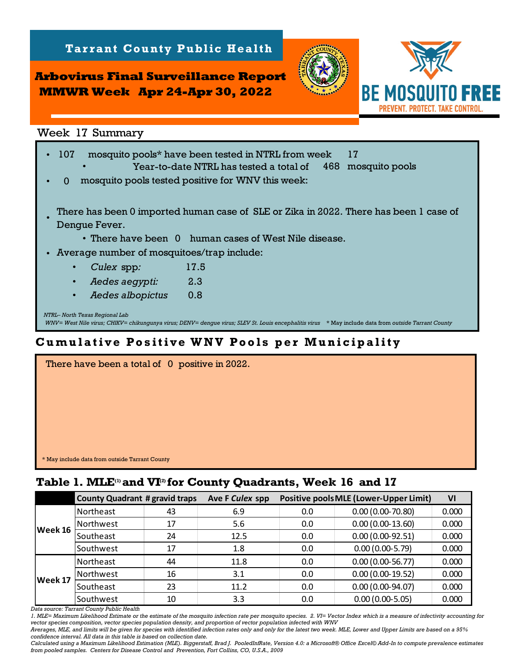**Arbovirus Final Surveillance Report MMWR Week Apr 24-Apr 30, 2022**

**Tarrant County Public Health** 



*NTRL– North Texas Regional Lab WNV= West Nile virus; CHIKV= chikungunya virus; DENV= dengue virus; SLEV St. Louis encephalitis virus* \* May include data from *outside Tarrant County* Week 17 Summary<br>107 mosquito pools\* have been tested in NTRL from week 17<br>107 wear-to-date NTRL has tested a total of 468 mosquito pools Year-to-date NTRL has tested a total of  $\mathbf{0}$ • There have been 0 human cases of West Nile disease. • Average number of mosquitoes/trap include: • *Culex* spp*:* • • *Aedes albopictus:* 0.8  *Aedes aegypti:* 2.3 mosquito pools tested positive for WNV this week: 17.5 There has been 0 imported human case of SLE or Zika in 2022. There has been 1 case of Dengue Fever. • **Table 17 Summary**<br>
Week 17 Summary<br>
Week 17 Summary<br>
1. 107 mosquito pools<sup>\*</sup> have been tested in NIRL from week<br>
17<br>
1. There has been of mported human case of SLE or Zika in 2022. There has 1<br>
1. There has been 0 import

## **Cumulative Positive WNV Pools per Municipality**

| There have been a total of 0 positive in 2022. |  |
|------------------------------------------------|--|
|                                                |  |
|                                                |  |
|                                                |  |
|                                                |  |
|                                                |  |
| * May include data from outside Tarrant County |  |

|         | <b>County Quadrant # gravid traps</b> |    | Ave F Culex spp | <b>Positive pools MLE (Lower-Upper Limit)</b> | VI                 |       |
|---------|---------------------------------------|----|-----------------|-----------------------------------------------|--------------------|-------|
| Week 16 | Northeast                             | 43 | 6.9             | 0.0                                           | $0.00(0.00-70.80)$ | 0.000 |
|         | Northwest                             | 17 | 5.6             | 0.0                                           | $0.00(0.00-13.60)$ | 0.000 |
|         | Southeast                             | 24 | 12.5            | 0.0                                           | $0.00(0.00-92.51)$ | 0.000 |
|         | Southwest                             | 17 | 1.8             | 0.0                                           | $0.00(0.00-5.79)$  | 0.000 |
| Week 17 | Northeast                             | 44 | 11.8            | 0.0                                           | $0.00(0.00-56.77)$ | 0.000 |
|         | Northwest                             | 16 | 3.1             | 0.0                                           | $0.00(0.00-19.52)$ | 0.000 |
|         | Southeast                             | 23 | 11.2            | 0.0                                           | $0.00(0.00-94.07)$ | 0.000 |
|         | Southwest                             | 10 | 3.3             | 0.0                                           | $0.00(0.00-5.05)$  | 0.000 |

*Data source: Tarrant County Public Health* 

*1. MLE= Maximum Likelihood Estimate or the estimate of the mosquito infection rate per mosquito species. 2. VI= Vector Index which is a measure of infectivity accounting for vector species composition, vector species population density, and proportion of vector population infected with WNV*

*Averages, MLE, and limits will be given for species with identified infection rates only and only for the latest two week. MLE, Lower and Upper Limits are based on a 95% confidence interval. All data in this table is based on collection date.*

*Calculated using a Maximum Likelihood Estimation (MLE). Biggerstaff, Brad J. PooledInfRate, Version 4.0: a Microsoft® Office Excel© Add-In to compute prevalence estimates from pooled samples. Centers for Disease Control and Prevention, Fort Collins, CO, U.S.A., 2009*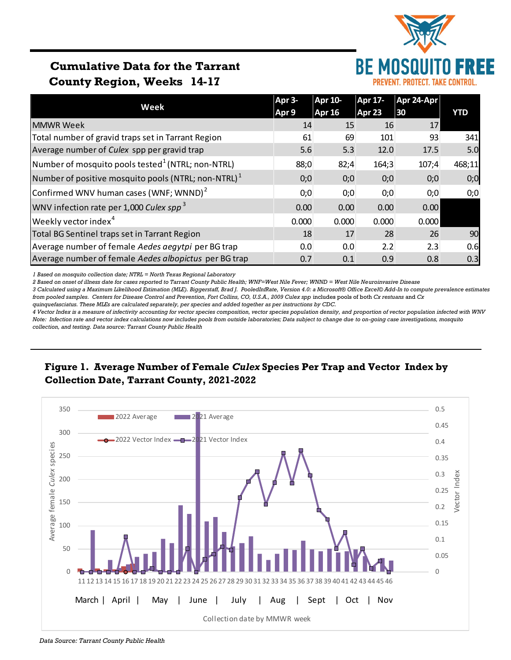

# **Cumulative Data for the Tarrant County Region, Weeks 14-17**

|                                                               | Apr 3- | <b>Apr 10-</b> | Apr 17- | Apr 24-Apr |            |  |
|---------------------------------------------------------------|--------|----------------|---------|------------|------------|--|
| Week                                                          | Apr 9  | Apr 16         | Apr 23  | 30         | <b>YTD</b> |  |
| <b>MMWR Week</b>                                              | 14     | 15             | 16      | 17         |            |  |
| Total number of gravid traps set in Tarrant Region            | 61     | 69             | 101     | 93         | 341        |  |
| Average number of Culex spp per gravid trap                   | 5.6    | 5.3            | 12.0    | 17.5       | 5.0        |  |
| Number of mosquito pools tested <sup>1</sup> (NTRL; non-NTRL) | 88;0   | 82;4           | 164;3   | 107;4      | 468;11     |  |
| Number of positive mosquito pools (NTRL; non-NTRL) $^1$       | 0;0    | 0;0            | 0;0     | 0;0        | 0;0        |  |
| Confirmed WNV human cases (WNF; WNND) <sup>2</sup>            | 0;0    | 0;0            | 0;0     | 0;0        | 0;0        |  |
| WNV infection rate per 1,000 Culex spp <sup>3</sup>           | 0.00   | 0.00           | 0.00    | 0.00       |            |  |
| Weekly vector index <sup>4</sup>                              | 0.000  | 0.000          | 0.000   | 0.000      |            |  |
| Total BG Sentinel traps set in Tarrant Region                 | 18     | 17             | 28      | 26         | 90         |  |
| Average number of female Aedes aegytpi per BG trap            | 0.0    | 0.0            | 2.2     | 2.3        | 0.6        |  |
| Average number of female Aedes albopictus per BG trap         | 0.7    | 0.1            | 0.9     | 0.8        | 0.3        |  |

*1 Based on mosquito collection date; NTRL = North Texas Regional Laboratory*

*2 Based on onset of illness date for cases reported to Tarrant County Public Health; WNF=West Nile Fever; WNND = West Nile Neuroinvasive Disease*

*3 Calculated using a Maximum Likelihood Estimation (MLE). Biggerstaff, Brad J. PooledInfRate, Version 4.0: a Microsoft® Office Excel© Add-In to compute prevalence estimates from pooled samples. Centers for Disease Control and Prevention, Fort Collins, CO, U.S.A., 2009 Culex spp* includes pools of both *Cx restuans* and *Cx* 

*quinquefasciatus. These MLEs are calculated separately, per species and added together as per instructions by CDC.*

*4 Vector Index is a measure of infectivity accounting for vector species composition, vector species population density, and proportion of vector population infected with WNV Note: Infection rate and vector index calculations now includes pools from outside laboratories; Data subject to change due to on-going case investigations, mosquito collection, and testing. Data source: Tarrant County Public Health*

## **Figure 1. Average Number of Female** *Culex* **Species Per Trap and Vector Index by Collection Date, Tarrant County, 2021-2022**



*Data Source: Tarrant County Public Health*